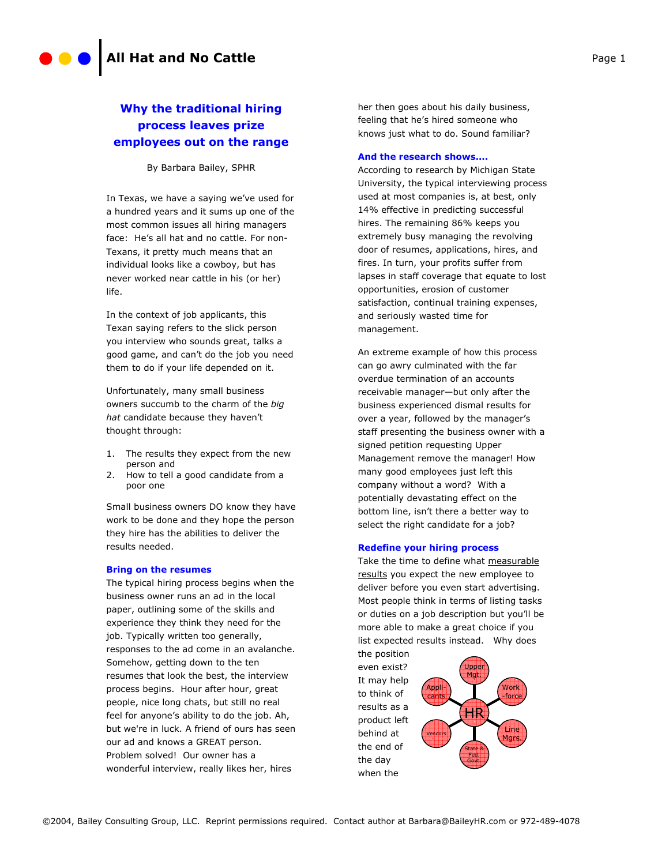# **Why the traditional hiring process leaves prize employees out on the range**

By Barbara Bailey, SPHR

In Texas, we have a saying we've used for a hundred years and it sums up one of the most common issues all hiring managers face: He's all hat and no cattle. For non-Texans, it pretty much means that an individual looks like a cowboy, but has never worked near cattle in his (or her) life.

In the context of job applicants, this Texan saying refers to the slick person you interview who sounds great, talks a good game, and can't do the job you need them to do if your life depended on it.

Unfortunately, many small business owners succumb to the charm of the *big hat* candidate because they haven't thought through:

- 1. The results they expect from the new person and
- 2. How to tell a good candidate from a poor one

Small business owners DO know they have work to be done and they hope the person they hire has the abilities to deliver the results needed.

#### **Bring on the resumes**

The typical hiring process begins when the business owner runs an ad in the local paper, outlining some of the skills and experience they think they need for the job. Typically written too generally, responses to the ad come in an avalanche. Somehow, getting down to the ten resumes that look the best, the interview process begins. Hour after hour, great people, nice long chats, but still no real feel for anyone's ability to do the job. Ah, but we're in luck. A friend of ours has seen our ad and knows a GREAT person. Problem solved! Our owner has a wonderful interview, really likes her, hires

her then goes about his daily business, feeling that he's hired someone who knows just what to do. Sound familiar?

## **And the research shows….**

According to research by Michigan State University, the typical interviewing process used at most companies is, at best, only 14% effective in predicting successful hires. The remaining 86% keeps you extremely busy managing the revolving door of resumes, applications, hires, and fires. In turn, your profits suffer from lapses in staff coverage that equate to lost opportunities, erosion of customer satisfaction, continual training expenses, and seriously wasted time for management.

An extreme example of how this process can go awry culminated with the far overdue termination of an accounts receivable manager—but only after the business experienced dismal results for over a year, followed by the manager's staff presenting the business owner with a signed petition requesting Upper Management remove the manager! How many good employees just left this company without a word? With a potentially devastating effect on the bottom line, isn't there a better way to select the right candidate for a job?

#### **Redefine your hiring process**

Take the time to define what measurable results you expect the new employee to deliver before you even start advertising. Most people think in terms of listing tasks or duties on a job description but you'll be more able to make a great choice if you list expected results instead. Why does

the position even exist? It may help to think of results as a product left behind at the end of the day when the

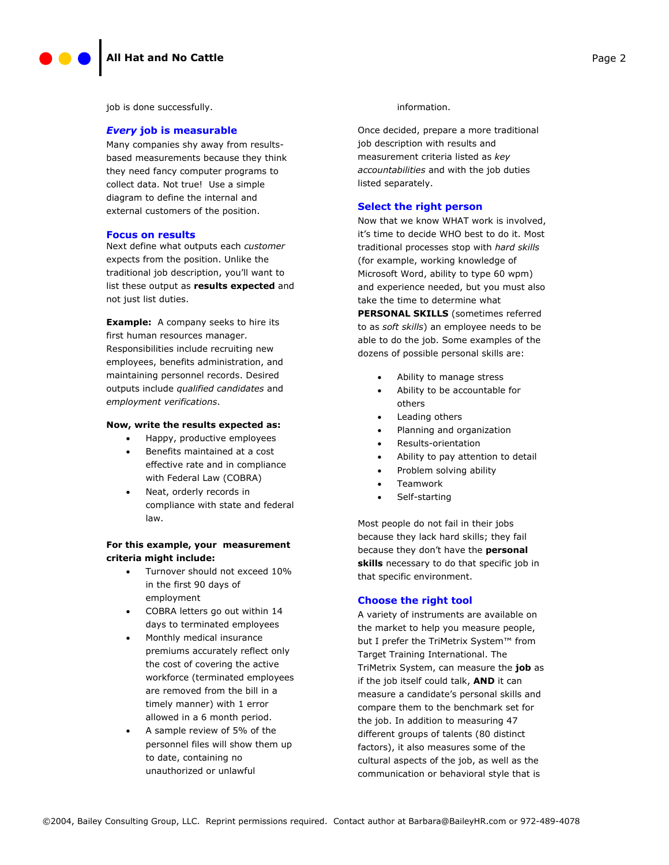job is done successfully.

#### *Every* **job is measurable**

Many companies shy away from resultsbased measurements because they think they need fancy computer programs to collect data. Not true! Use a simple diagram to define the internal and external customers of the position.

#### **Focus on results**

Next define what outputs each *customer*  expects from the position. Unlike the traditional job description, you'll want to list these output as **results expected** and not just list duties.

**Example:** A company seeks to hire its first human resources manager. Responsibilities include recruiting new employees, benefits administration, and maintaining personnel records. Desired outputs include *qualified candidates* and *employment verifications*.

### **Now, write the results expected as:**

- Happy, productive employees
- Benefits maintained at a cost effective rate and in compliance with Federal Law (COBRA)
- Neat, orderly records in compliance with state and federal law.

## **For this example, your measurement criteria might include:**

- Turnover should not exceed 10% in the first 90 days of employment
- COBRA letters go out within 14 days to terminated employees
- Monthly medical insurance premiums accurately reflect only the cost of covering the active workforce (terminated employees are removed from the bill in a timely manner) with 1 error allowed in a 6 month period.
- A sample review of 5% of the personnel files will show them up to date, containing no unauthorized or unlawful

#### information.

Once decided, prepare a more traditional job description with results and measurement criteria listed as *key accountabilities* and with the job duties listed separately.

#### **Select the right person**

Now that we know WHAT work is involved, it's time to decide WHO best to do it. Most traditional processes stop with *hard skills*  (for example, working knowledge of Microsoft Word, ability to type 60 wpm) and experience needed, but you must also take the time to determine what

**PERSONAL SKILLS** (sometimes referred to as *soft skills*) an employee needs to be able to do the job. Some examples of the dozens of possible personal skills are:

- Ability to manage stress
- Ability to be accountable for others
- Leading others
- Planning and organization
- Results-orientation
- Ability to pay attention to detail
- Problem solving ability
- Teamwork
- Self-starting

Most people do not fail in their jobs because they lack hard skills; they fail because they don't have the **personal skills** necessary to do that specific job in that specific environment.

## **Choose the right tool**

A variety of instruments are available on the market to help you measure people, but I prefer the TriMetrix System™ from Target Training International. The TriMetrix System, can measure the **job** as if the job itself could talk, **AND** it can measure a candidate's personal skills and compare them to the benchmark set for the job. In addition to measuring 47 different groups of talents (80 distinct factors), it also measures some of the cultural aspects of the job, as well as the communication or behavioral style that is